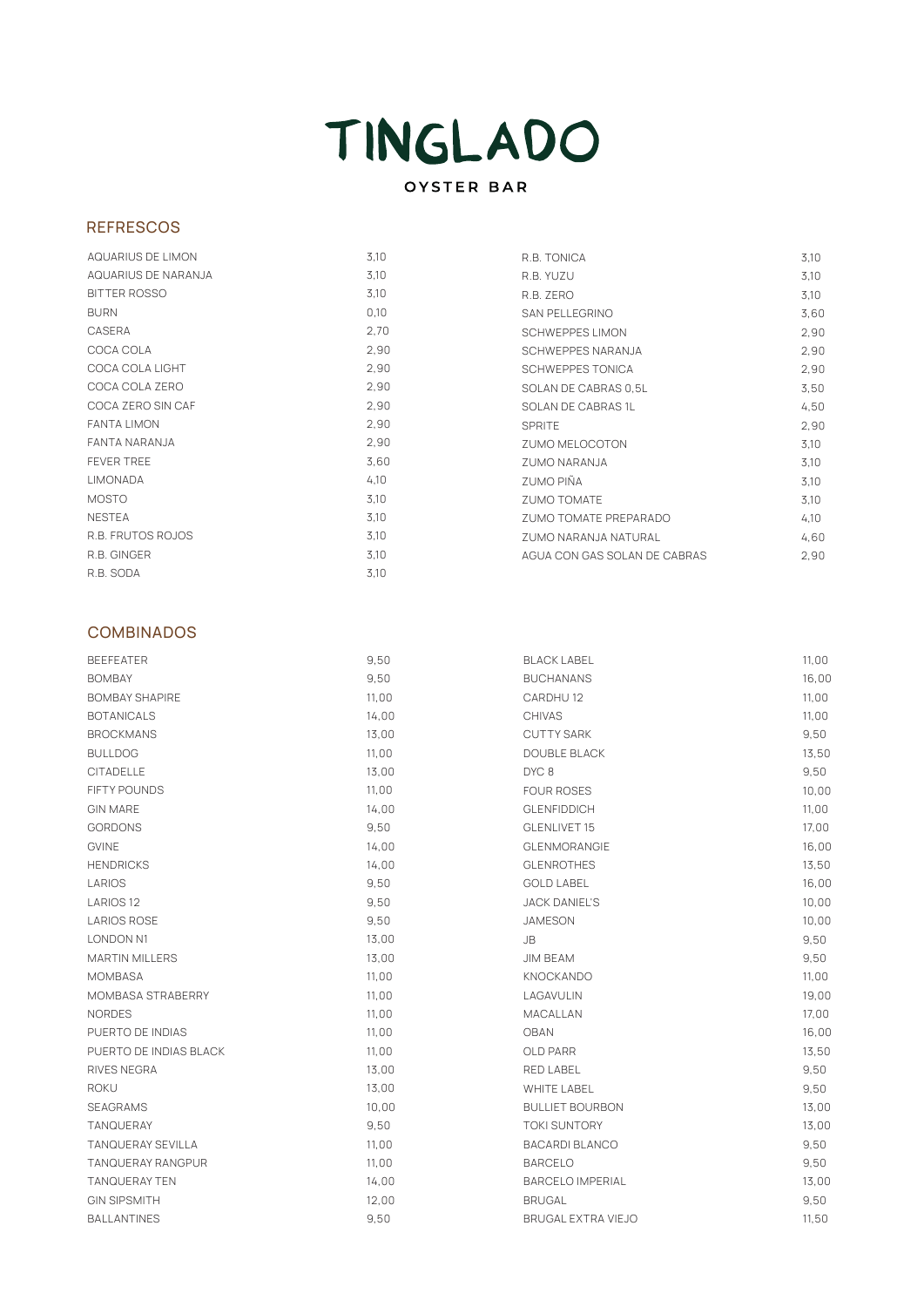

## **REFRESCOS**

| <b>AQUARIUS DE LIMON</b> | 3,10 | R.B. TONICA                  | 3,10 |
|--------------------------|------|------------------------------|------|
| AQUARIUS DE NARANJA      | 3,10 | R.B. YUZU                    | 3,10 |
| BITTER ROSSO             | 3,10 | R.B. ZERO                    | 3,10 |
| <b>BURN</b>              | 0,10 | SAN PELLEGRINO               | 3.60 |
| CASERA                   | 2,70 | <b>SCHWEPPES LIMON</b>       | 2,90 |
| COCA COLA                | 2,90 | <b>SCHWEPPES NARANJA</b>     | 2,90 |
| COCA COLA LIGHT          | 2,90 | <b>SCHWEPPES TONICA</b>      | 2,90 |
| COCA COLA ZERO           | 2,90 | SOLAN DE CABRAS 0,5L         | 3.50 |
| COCA ZERO SIN CAF        | 2,90 | SOLAN DE CABRAS 1L           | 4,50 |
| <b>FANTA LIMON</b>       | 2,90 | <b>SPRITE</b>                | 2,90 |
| FANTA NARANJA            | 2,90 | ZUMO MELOCOTON               | 3,10 |
| <b>FEVER TREE</b>        | 3.60 | ZUMO NARANJA                 | 3,10 |
| <b>LIMONADA</b>          | 4,10 | ZUMO PIÑA                    | 3,10 |
| <b>MOSTO</b>             | 3,10 | <b>ZUMO TOMATE</b>           | 3,10 |
| <b>NESTEA</b>            | 3,10 | ZUMO TOMATE PREPARADO        | 4,10 |
| R.B. FRUTOS ROJOS        | 3,10 | ZUMO NARANJA NATURAL         | 4,60 |
| R.B. GINGER              | 3,10 | AGUA CON GAS SOLAN DE CABRAS | 2,90 |
| R.B. SODA                | 3,10 |                              |      |

## COMBINADOS

| <b>BEEFEATER</b>         | 9,50  | <b>BLACK LABEL</b>        | 11,00 |
|--------------------------|-------|---------------------------|-------|
| <b>BOMBAY</b>            | 9,50  | <b>BUCHANANS</b>          | 16,00 |
| <b>BOMBAY SHAPIRE</b>    | 11,00 | CARDHU <sub>12</sub>      | 11,00 |
| <b>BOTANICALS</b>        | 14,00 | <b>CHIVAS</b>             | 11,00 |
| <b>BROCKMANS</b>         | 13,00 | <b>CUTTY SARK</b>         | 9,50  |
| <b>BULLDOG</b>           | 11,00 | <b>DOUBLE BLACK</b>       | 13,50 |
| <b>CITADELLE</b>         | 13,00 | DYC <sub>8</sub>          | 9,50  |
| FIFTY POUNDS             | 11,00 | <b>FOUR ROSES</b>         | 10,00 |
| <b>GIN MARE</b>          | 14,00 | <b>GLENFIDDICH</b>        | 11,00 |
| <b>GORDONS</b>           | 9.50  | GLENLIVET 15              | 17,00 |
| <b>GVINE</b>             | 14,00 | <b>GLENMORANGIE</b>       | 16,00 |
| <b>HENDRICKS</b>         | 14,00 | <b>GLENROTHES</b>         | 13,50 |
| LARIOS                   | 9,50  | <b>GOLD LABEL</b>         | 16,00 |
| LARIOS <sub>12</sub>     | 9,50  | <b>JACK DANIEL'S</b>      | 10,00 |
| <b>LARIOS ROSE</b>       | 9,50  | <b>JAMESON</b>            | 10,00 |
| <b>LONDON N1</b>         | 13,00 | JB                        | 9,50  |
| <b>MARTIN MILLERS</b>    | 13,00 | <b>JIM BEAM</b>           | 9,50  |
| <b>MOMBASA</b>           | 11,00 | <b>KNOCKANDO</b>          | 11,00 |
| MOMBASA STRABERRY        | 11,00 | LAGAVULIN                 | 19,00 |
| <b>NORDES</b>            | 11,00 | MACALLAN                  | 17,00 |
| PUERTO DE INDIAS         | 11,00 | <b>OBAN</b>               | 16,00 |
| PUERTO DE INDIAS BLACK   | 11,00 | <b>OLD PARR</b>           | 13,50 |
| <b>RIVES NEGRA</b>       | 13,00 | RED LABEL                 | 9,50  |
| <b>ROKU</b>              | 13,00 | <b>WHITE LABEL</b>        | 9,50  |
| <b>SEAGRAMS</b>          | 10,00 | <b>BULLIET BOURBON</b>    | 13,00 |
| TANQUERAY                | 9,50  | <b>TOKI SUNTORY</b>       | 13,00 |
| <b>TANQUERAY SEVILLA</b> | 11,00 | <b>BACARDI BLANCO</b>     | 9,50  |
| TANQUERAY RANGPUR        | 11,00 | <b>BARCELO</b>            | 9,50  |
| <b>TANQUERAY TEN</b>     | 14,00 | <b>BARCELO IMPERIAL</b>   | 13,00 |
| <b>GIN SIPSMITH</b>      | 12,00 | <b>BRUGAL</b>             | 9,50  |
| <b>BALLANTINES</b>       | 9,50  | <b>BRUGAL EXTRA VIEJO</b> | 11,50 |